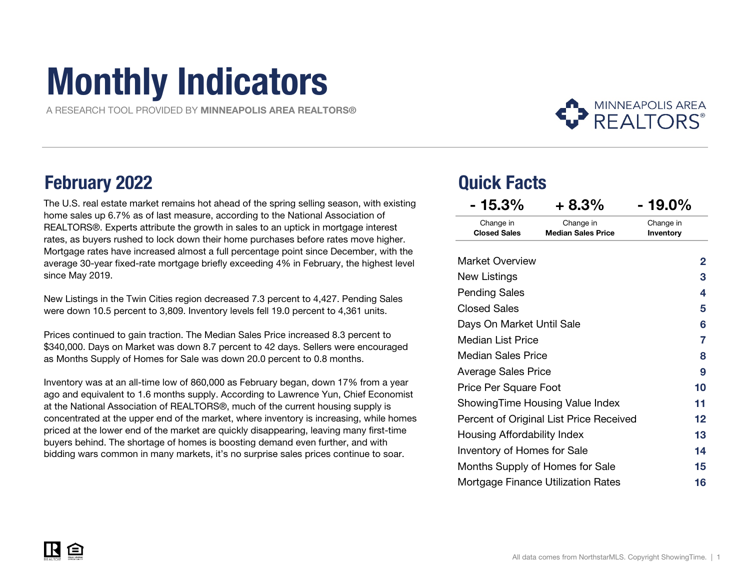# Monthly Indicators

A RESEARCH TOOL PROVIDED BY MINNEAPOLIS AREA REALTORS®



### February 2022 Quick Facts

The U.S. real estate market remains hot ahead of the spring selling season, with existing home sales up 6.7% as of last measure, according to the National Association of REALTORS®. Experts attribute the growth in sales to an uptick in mortgage interest rates, as buyers rushed to lock down their home purchases before rates move higher. Mortgage rates have increased almost a full percentage point since December, with the average 30-year fixed-rate mortgage briefly exceeding 4% in February, the highest level since May 2019.

New Listings in the Twin Cities region decreased 7.3 percent to 4,427. Pending Sales were down 10.5 percent to 3,809. Inventory levels fell 19.0 percent to 4,361 units.

Prices continued to gain traction. The Median Sales Price increased 8.3 percent to \$340,000. Days on Market was down 8.7 percent to 42 days. Sellers were encouraged as Months Supply of Homes for Sale was down 20.0 percent to 0.8 months.

Inventory was at an all-time low of 860,000 as February began, down 17% from a year ago and equivalent to 1.6 months supply. According to Lawrence Yun, Chief Economist at the National Association of REALTORS®, much of the current housing supply is concentrated at the upper end of the market, where inventory is increasing, while homes priced at the lower end of the market are quickly disappearing, leaving many first-time buyers behind. The shortage of homes is boosting demand even further, and with bidding wars common in many markets, it's no surprise sales prices continue to soar.

| $-15.3%$                                | $+8.3%$                                | $-19.0\%$              |
|-----------------------------------------|----------------------------------------|------------------------|
| Change in<br><b>Closed Sales</b>        | Change in<br><b>Median Sales Price</b> | Change in<br>Inventory |
| <b>Market Overview</b>                  |                                        | 2                      |
| New Listings                            |                                        | 3                      |
| <b>Pending Sales</b>                    |                                        | 4                      |
| <b>Closed Sales</b>                     |                                        | 5                      |
| Days On Market Until Sale               | 6                                      |                        |
| Median List Price                       | 7                                      |                        |
| Median Sales Price                      | 8                                      |                        |
| <b>Average Sales Price</b>              | 9                                      |                        |
| Price Per Square Foot                   | 10                                     |                        |
| Showing Time Housing Value Index        | 11                                     |                        |
| Percent of Original List Price Received | $12 \,$                                |                        |
| Housing Affordability Index             | 13                                     |                        |
| <b>Inventory of Homes for Sale</b>      |                                        | 14                     |
|                                         | Months Supply of Homes for Sale        | 15                     |
|                                         | Mortgage Finance Utilization Rates     | 16                     |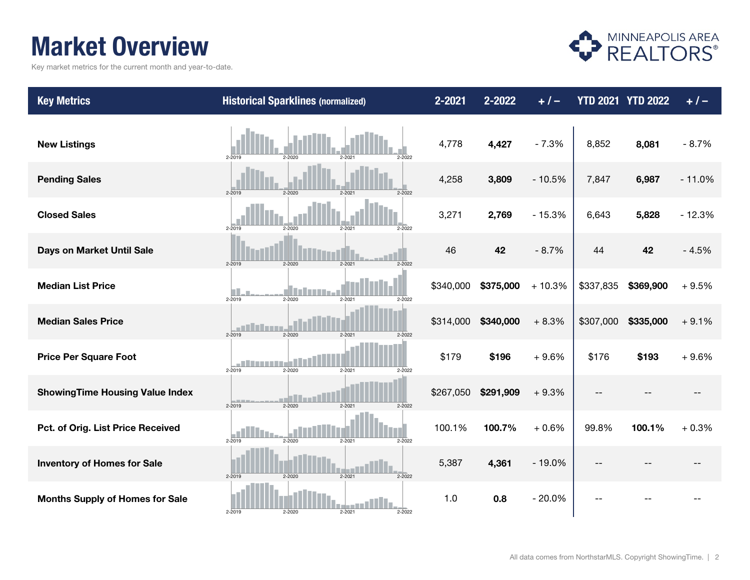### Market Overview

Key market metrics for the current month and year-to-date.



| <b>Key Metrics</b>                     | <b>Historical Sparklines (normalized)</b>                       | 2-2021    | 2-2022    | $+1-$    |           | <b>YTD 2021 YTD 2022</b> | $+ 1 -$  |
|----------------------------------------|-----------------------------------------------------------------|-----------|-----------|----------|-----------|--------------------------|----------|
| <b>New Listings</b>                    | $2 - 2019$<br>$2 - 2022$<br>2-2020<br>$2 - 202 -$               | 4,778     | 4,427     | $-7.3%$  | 8,852     | 8,081                    | $-8.7%$  |
| <b>Pending Sales</b>                   | $2 - 2019$<br>$2 - 2022$<br>$2 - 2020$<br>$2 - 2021$            | 4,258     | 3,809     | $-10.5%$ | 7,847     | 6,987                    | $-11.0%$ |
| <b>Closed Sales</b>                    | $2 - 2019$<br>$2 - 2021$<br>$2 - 2020$<br>$2 - 2022$            | 3,271     | 2,769     | $-15.3%$ | 6,643     | 5,828                    | $-12.3%$ |
| Days on Market Until Sale              | 2-2021<br>2-2019<br>$2 - 2020$<br>$2 - 2022$                    | 46        | 42        | $-8.7%$  | 44        | 42                       | $-4.5%$  |
| <b>Median List Price</b>               | <b>The State</b><br>2-2019<br>2-2021<br>2-2022<br>2-2020        | \$340,000 | \$375,000 | $+10.3%$ | \$337,835 | \$369,900                | $+9.5%$  |
| <b>Median Sales Price</b>              | 2-2019<br>$2 - 2020$<br>2-2021<br>$2 - 2022$                    | \$314,000 | \$340,000 | $+8.3%$  | \$307,000 | \$335,000                | $+9.1%$  |
| <b>Price Per Square Foot</b>           | $2 - 2019$<br>$2 - 2020$<br>2-2021<br>$2 - 2022$                | \$179     | \$196     | $+9.6%$  | \$176     | \$193                    | $+9.6%$  |
| <b>ShowingTime Housing Value Index</b> | - - - -<br>$2 - 2019$<br>$2 - 2020$<br>$2 - 2021$<br>$2 - 2022$ | \$267,050 | \$291,909 | $+9.3%$  |           |                          |          |
| Pct. of Orig. List Price Received      | 2-2019<br>$2 - 2020$<br>2-2021<br>2-2022                        | 100.1%    | 100.7%    | $+0.6%$  | 99.8%     | 100.1%                   | $+0.3%$  |
| <b>Inventory of Homes for Sale</b>     | $2 - 2021$<br>$2 - 2022$<br>2-2019<br>$2 - 2020$                | 5,387     | 4,361     | $-19.0%$ |           |                          |          |
| <b>Months Supply of Homes for Sale</b> | $2 - 2021$<br>$2 - 2022$<br>2-2019<br>$2 - 2020$                | 1.0       | 0.8       | $-20.0%$ |           |                          |          |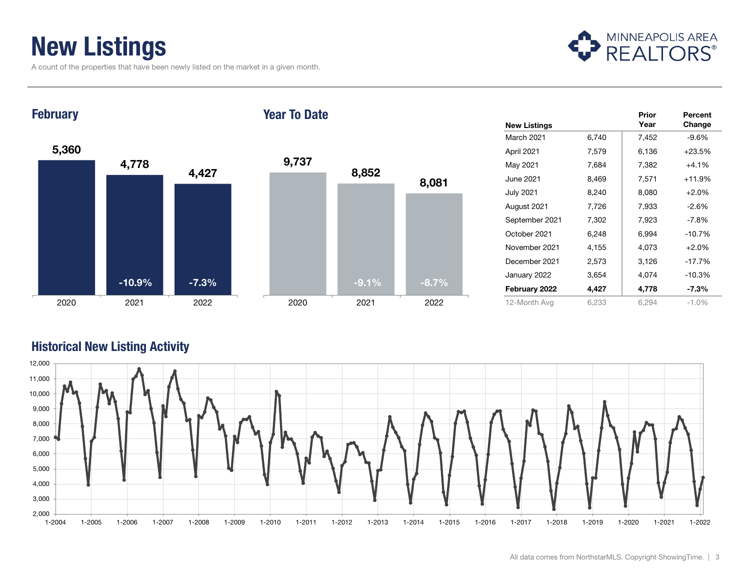### New Listings

A count of the properties that have been newly listed on the market in a given month.



**February** 

#### Year To Date



|                     |       | Prior | Percent  |
|---------------------|-------|-------|----------|
| <b>New Listings</b> |       | Year  | Change   |
| March 2021          | 6,740 | 7,452 | $-9.6%$  |
| April 2021          | 7,579 | 6,136 | $+23.5%$ |
| May 2021            | 7,684 | 7,382 | $+4.1%$  |
| June 2021           | 8,469 | 7,571 | $+11.9%$ |
| <b>July 2021</b>    | 8,240 | 8,080 | $+2.0%$  |
| August 2021         | 7,726 | 7,933 | $-2.6%$  |
| September 2021      | 7,302 | 7,923 | $-7.8%$  |
| October 2021        | 6,248 | 6,994 | $-10.7%$ |
| November 2021       | 4,155 | 4,073 | $+2.0%$  |
| December 2021       | 2,573 | 3,126 | $-17.7%$ |
| January 2022        | 3,654 | 4,074 | $-10.3%$ |
| February 2022       | 4,427 | 4,778 | $-7.3\%$ |
| 12-Month Avg        | 6,233 | 6,294 | $-1.0\%$ |

#### Historical New Listing Activity

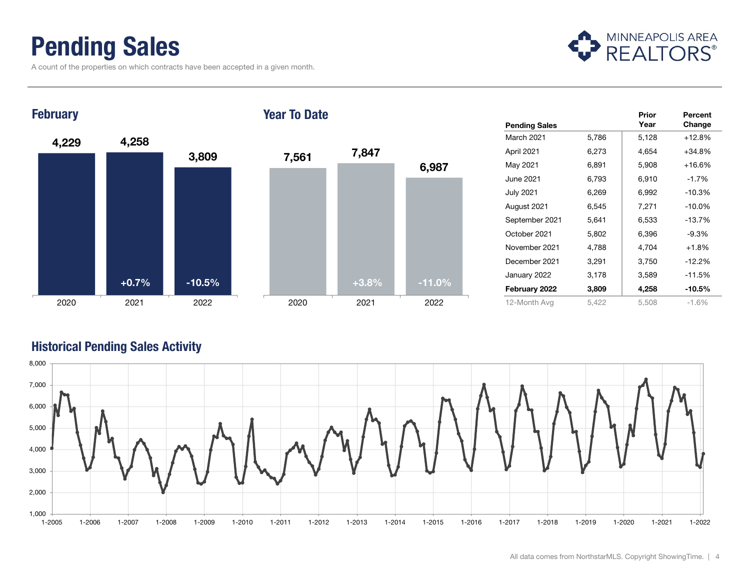### Pending Sales

A count of the properties on which contracts have been accepted in a given month.



#### 4,229 4,258 3,809 2020 2021 2022 **February** 7,561 <sup>7,847</sup> 6,987 2020 2021 2022  $+0.7\%$  -10.5% +3.8% -11.0%

Year To Date

|                      |       | Prior | Percent   |
|----------------------|-------|-------|-----------|
| <b>Pending Sales</b> |       | Year  | Change    |
| March 2021           | 5,786 | 5,128 | $+12.8%$  |
| April 2021           | 6,273 | 4,654 | $+34.8%$  |
| May 2021             | 6,891 | 5,908 | $+16.6%$  |
| <b>June 2021</b>     | 6,793 | 6,910 | $-1.7%$   |
| <b>July 2021</b>     | 6,269 | 6,992 | $-10.3%$  |
| August 2021          | 6,545 | 7,271 | $-10.0%$  |
| September 2021       | 5,641 | 6,533 | $-13.7%$  |
| October 2021         | 5,802 | 6,396 | $-9.3%$   |
| November 2021        | 4,788 | 4,704 | $+1.8%$   |
| December 2021        | 3,291 | 3,750 | $-12.2%$  |
| January 2022         | 3,178 | 3,589 | $-11.5%$  |
| February 2022        | 3,809 | 4,258 | $-10.5\%$ |
| 12-Month Avg         | 5,422 | 5,508 | $-1.6%$   |

#### Historical Pending Sales Activity

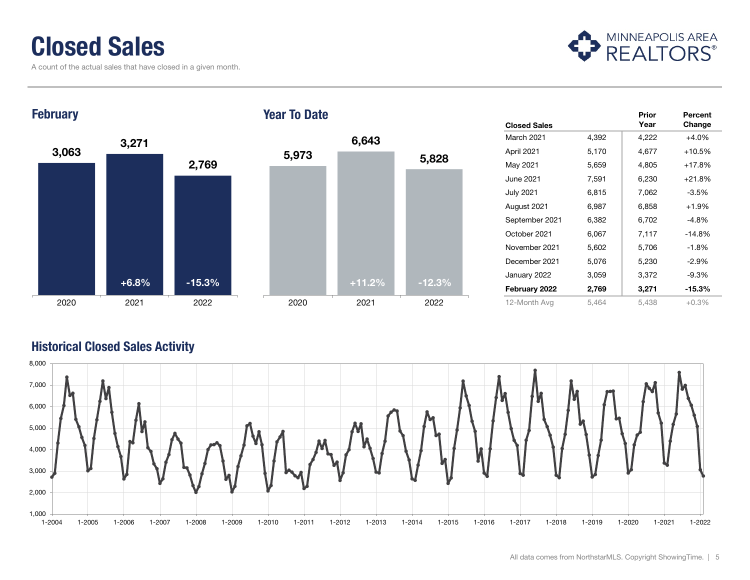### Closed Sales

A count of the actual sales that have closed in a given month.





|                     |       | Prior | Percent  |
|---------------------|-------|-------|----------|
| <b>Closed Sales</b> |       | Year  | Change   |
| March 2021          | 4,392 | 4,222 | $+4.0%$  |
| April 2021          | 5,170 | 4,677 | $+10.5%$ |
| May 2021            | 5,659 | 4,805 | $+17.8%$ |
| June 2021           | 7,591 | 6,230 | $+21.8%$ |
| <b>July 2021</b>    | 6,815 | 7,062 | $-3.5%$  |
| August 2021         | 6,987 | 6,858 | $+1.9%$  |
| September 2021      | 6,382 | 6,702 | $-4.8%$  |
| October 2021        | 6,067 | 7,117 | $-14.8%$ |
| November 2021       | 5,602 | 5,706 | $-1.8%$  |
| December 2021       | 5,076 | 5,230 | $-2.9\%$ |
| January 2022        | 3,059 | 3,372 | -9.3%    |
| February 2022       | 2,769 | 3,271 | -15.3%   |
| 12-Month Avg        | 5,464 | 5,438 | $+0.3%$  |

#### Historical Closed Sales Activity

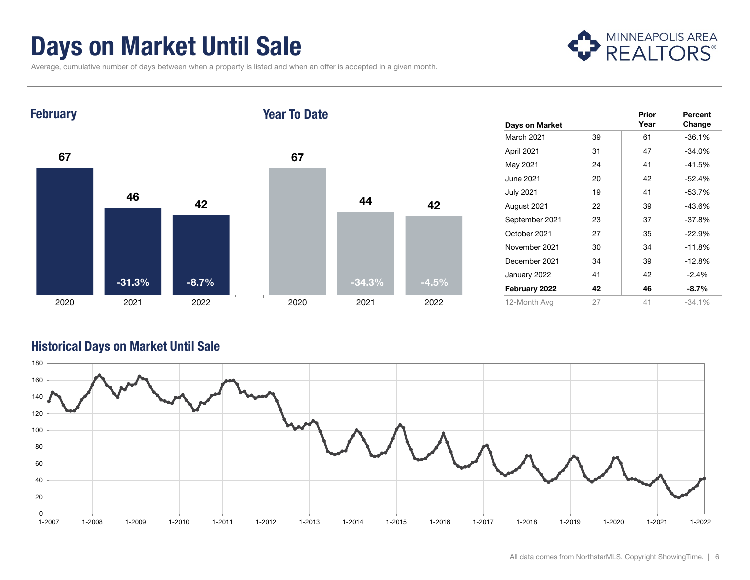### Days on Market Until Sale

MINNEAPOLIS AREA

Average, cumulative number of days between when a property is listed and when an offer is accepted in a given month.



#### Historical Days on Market Until Sale

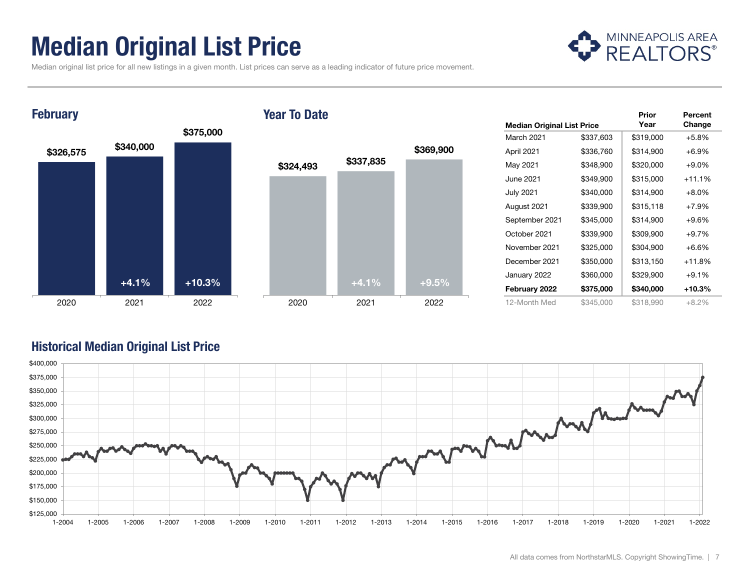### Median Original List Price



Median original list price for all new listings in a given month. List prices can serve as a leading indicator of future price movement.



#### Year To Date



|                                   |           | Prior     | Percent  |
|-----------------------------------|-----------|-----------|----------|
| <b>Median Original List Price</b> |           | Year      | Change   |
| March 2021                        | \$337,603 | \$319,000 | $+5.8%$  |
| April 2021                        | \$336,760 | \$314,900 | $+6.9%$  |
| May 2021                          | \$348,900 | \$320,000 | $+9.0%$  |
| June 2021                         | \$349,900 | \$315,000 | $+11.1%$ |
| <b>July 2021</b>                  | \$340,000 | \$314,900 | $+8.0\%$ |
| August 2021                       | \$339,900 | \$315,118 | $+7.9%$  |
| September 2021                    | \$345,000 | \$314,900 | $+9.6%$  |
| October 2021                      | \$339,900 | \$309,900 | $+9.7%$  |
| November 2021                     | \$325,000 | \$304,900 | $+6.6%$  |
| December 2021                     | \$350,000 | \$313,150 | $+11.8%$ |
| January 2022                      | \$360,000 | \$329,900 | $+9.1%$  |
| February 2022                     | \$375,000 | \$340,000 | +10.3%   |
| 12-Month Med                      | \$345,000 | \$318,990 | $+8.2%$  |

#### Historical Median Original List Price

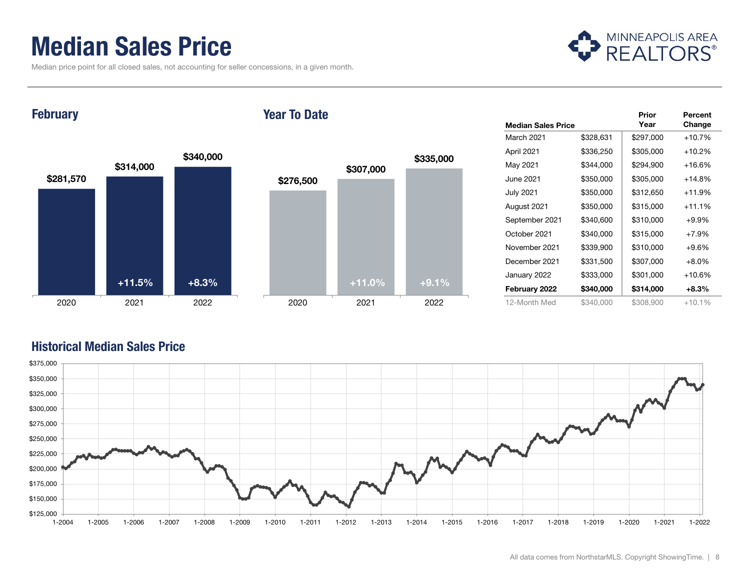### Median Sales Price

Median price point for all closed sales, not accounting for seller concessions, in a given month.



**February** 

#### Year To Date



|                           |           | Prior     | Percent  |
|---------------------------|-----------|-----------|----------|
| <b>Median Sales Price</b> |           | Year      | Change   |
| March 2021                | \$328,631 | \$297,000 | $+10.7%$ |
| April 2021                | \$336,250 | \$305,000 | $+10.2%$ |
| May 2021                  | \$344,000 | \$294,900 | $+16.6%$ |
| June 2021                 | \$350,000 | \$305,000 | $+14.8%$ |
| July 2021                 | \$350,000 | \$312,650 | $+11.9%$ |
| August 2021               | \$350,000 | \$315,000 | $+11.1%$ |
| September 2021            | \$340,600 | \$310,000 | $+9.9%$  |
| October 2021              | \$340,000 | \$315,000 | $+7.9%$  |
| November 2021             | \$339,900 | \$310,000 | $+9.6%$  |
| December 2021             | \$331,500 | \$307,000 | $+8.0\%$ |
| January 2022              | \$333,000 | \$301,000 | $+10.6%$ |
| February 2022             | \$340,000 | \$314,000 | $+8.3%$  |
| 12-Month Med              | \$340,000 | \$308,900 | $+10.1%$ |

#### Historical Median Sales Price

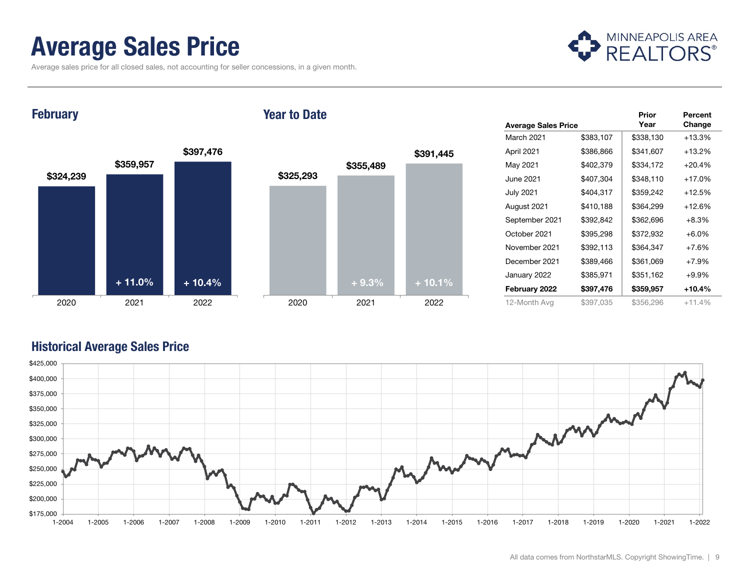### Average Sales Price

Average sales price for all closed sales, not accounting for seller concessions, in a given month.



**February** 

#### Year to Date



|                            |           | Prior     | Percent  |
|----------------------------|-----------|-----------|----------|
| <b>Average Sales Price</b> |           | Year      | Change   |
| March 2021                 | \$383,107 | \$338,130 | $+13.3%$ |
| April 2021                 | \$386,866 | \$341,607 | $+13.2%$ |
| May 2021                   | \$402,379 | \$334,172 | $+20.4%$ |
| June 2021                  | \$407,304 | \$348,110 | $+17.0%$ |
| July 2021                  | \$404,317 | \$359,242 | $+12.5%$ |
| August 2021                | \$410,188 | \$364,299 | $+12.6%$ |
| September 2021             | \$392,842 | \$362,696 | $+8.3%$  |
| October 2021               | \$395,298 | \$372,932 | $+6.0%$  |
| November 2021              | \$392,113 | \$364,347 | $+7.6%$  |
| December 2021              | \$389,466 | \$361,069 | $+7.9%$  |
| January 2022               | \$385,971 | \$351,162 | $+9.9%$  |
| February 2022              | \$397,476 | \$359,957 | $+10.4%$ |
| 12-Month Avg               | \$397,035 | \$356,296 | $+11.4%$ |

#### Historical Average Sales Price

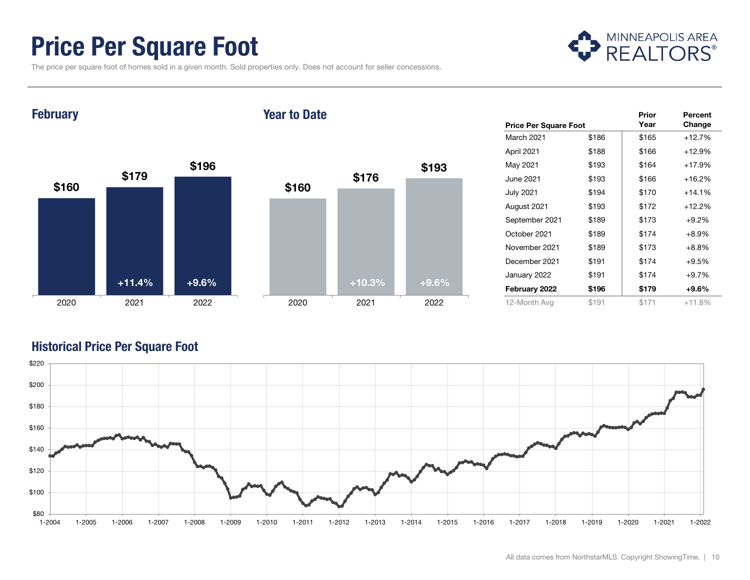### Price Per Square Foot

The price per square foot of homes sold in a given month. Sold properties only. Does not account for seller concessions.



**February** 

#### Year to Date



| <b>Price Per Square Foot</b> |       | Prior<br>Year | Percent<br>Change |
|------------------------------|-------|---------------|-------------------|
| March 2021                   | \$186 | \$165         | $+12.7%$          |
| April 2021                   | \$188 | \$166         | $+12.9%$          |
| May 2021                     | \$193 | \$164         | $+17.9%$          |
| June 2021                    | \$193 | \$166         | $+16.2%$          |
| <b>July 2021</b>             | \$194 | \$170         | $+14.1%$          |
| August 2021                  | \$193 | \$172         | $+12.2%$          |
| September 2021               | \$189 | \$173         | $+9.2%$           |
| October 2021                 | \$189 | \$174         | $+8.9%$           |
| November 2021                | \$189 | \$173         | $+8.8%$           |
| December 2021                | \$191 | \$174         | $+9.5%$           |
| January 2022                 | \$191 | \$174         | $+9.7%$           |
| February 2022                | \$196 | \$179         | $+9.6%$           |
| 12-Month Avg                 | \$191 | \$171         | $+11.8%$          |

#### Historical Price Per Square Foot

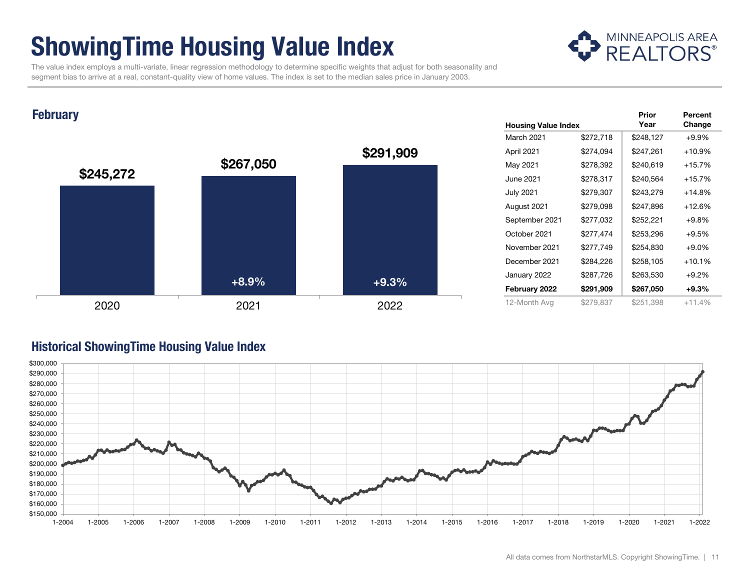### ShowingTime Housing Value Index



 The value index employs a multi-variate, linear regression methodology to determine specific weights that adjust for both seasonality and segment bias to arrive at a real, constant-quality view of home values. The index is set to the median sales price in January 2003.

#### **February**



|                            |           | Prior     | Percent  |
|----------------------------|-----------|-----------|----------|
| <b>Housing Value Index</b> |           | Year      | Change   |
| March 2021                 | \$272,718 | \$248,127 | $+9.9%$  |
| April 2021                 | \$274,094 | \$247,261 | $+10.9%$ |
| May 2021                   | \$278,392 | \$240,619 | $+15.7%$ |
| June 2021                  | \$278,317 | \$240,564 | $+15.7%$ |
| <b>July 2021</b>           | \$279,307 | \$243,279 | $+14.8%$ |
| August 2021                | \$279,098 | \$247,896 | $+12.6%$ |
| September 2021             | \$277,032 | \$252,221 | $+9.8%$  |
| October 2021               | \$277,474 | \$253,296 | $+9.5%$  |
| November 2021              | \$277,749 | \$254,830 | $+9.0%$  |
| December 2021              | \$284,226 | \$258,105 | $+10.1%$ |
| January 2022               | \$287,726 | \$263,530 | $+9.2%$  |
| February 2022              | \$291,909 | \$267,050 | $+9.3\%$ |
| 12-Month Avg               | \$279,837 | \$251,398 | $+11.4%$ |

#### Historical ShowingTime Housing Value Index

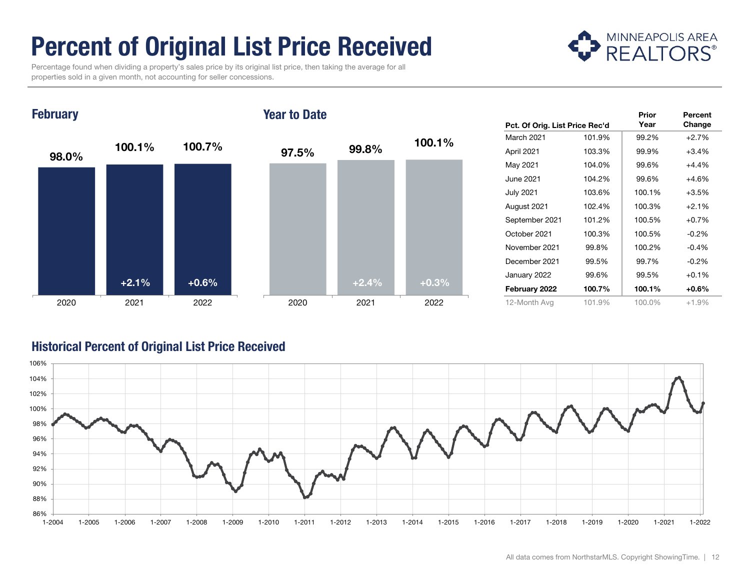## Percent of Original List Price Received

 Percentage found when dividing a property's sales price by its original list price, then taking the average for all properties sold in a given month, not accounting for seller concessions.



98.0%100.1% 100.7% 2020 2021 2022 97.5% 99.8% 100.1% 2020 2021 2022  $+2.1\%$   $+0.6\%$   $+2.4\%$ +0.3%

Year to Date

|                                |        | Prior  | Percent |
|--------------------------------|--------|--------|---------|
| Pct. Of Orig. List Price Rec'd |        | Year   | Change  |
| March 2021                     | 101.9% | 99.2%  | $+2.7%$ |
| April 2021                     | 103.3% | 99.9%  | $+3.4%$ |
| May 2021                       | 104.0% | 99.6%  | $+4.4%$ |
| June 2021                      | 104.2% | 99.6%  | $+4.6%$ |
| <b>July 2021</b>               | 103.6% | 100.1% | $+3.5%$ |
| August 2021                    | 102.4% | 100.3% | $+2.1%$ |
| September 2021                 | 101.2% | 100.5% | $+0.7%$ |
| October 2021                   | 100.3% | 100.5% | $-0.2%$ |
| November 2021                  | 99.8%  | 100.2% | $-0.4%$ |
| December 2021                  | 99.5%  | 99.7%  | $-0.2%$ |
| January 2022                   | 99.6%  | 99.5%  | $+0.1%$ |
| February 2022                  | 100.7% | 100.1% | +0.6%   |
| 12-Month Ava                   | 101.9% | 100.0% | $+1.9%$ |

#### Historical Percent of Original List Price Received

**February** 

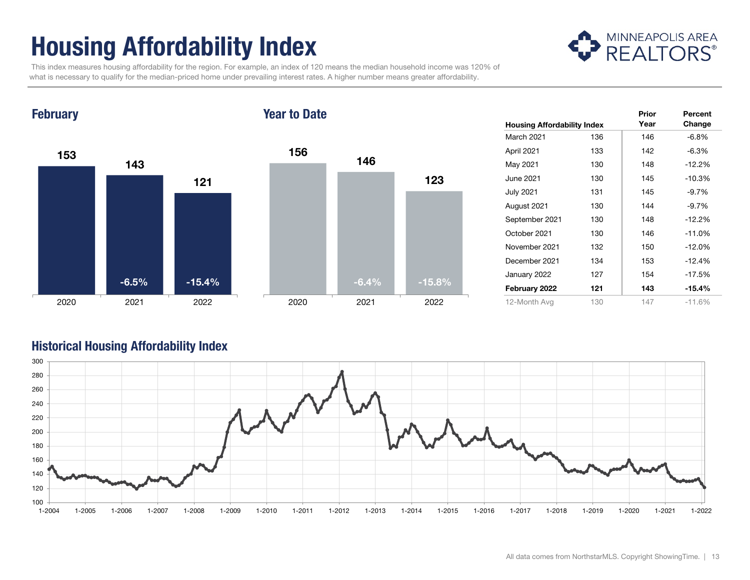## Housing Affordability Index



 This index measures housing affordability for the region. For example, an index of 120 means the median household income was 120% of what is necessary to qualify for the median-priced home under prevailing interest rates. A higher number means greater affordability.

**February** 

#### Year to Date



| <b>Housing Affordability Index</b> |     | Prior<br>Year | Percent<br>Change |
|------------------------------------|-----|---------------|-------------------|
| March 2021                         | 136 | 146           | $-6.8%$           |
| April 2021                         | 133 | 142           | $-6.3%$           |
| May 2021                           | 130 | 148           | $-12.2%$          |
| June 2021                          | 130 | 145           | $-10.3%$          |
| <b>July 2021</b>                   | 131 | 145           | $-9.7%$           |
| August 2021                        | 130 | 144           | $-9.7%$           |
| September 2021                     | 130 | 148           | $-12.2%$          |
| October 2021                       | 130 | 146           | $-11.0%$          |
| November 2021                      | 132 | 150           | $-12.0%$          |
| December 2021                      | 134 | 153           | $-12.4%$          |
| January 2022                       | 127 | 154           | $-17.5%$          |
| February 2022                      | 121 | 143           | $-15.4\%$         |
| 12-Month Ava                       | 130 | 147           | -11.6%            |

#### Historical Housing Affordability Index

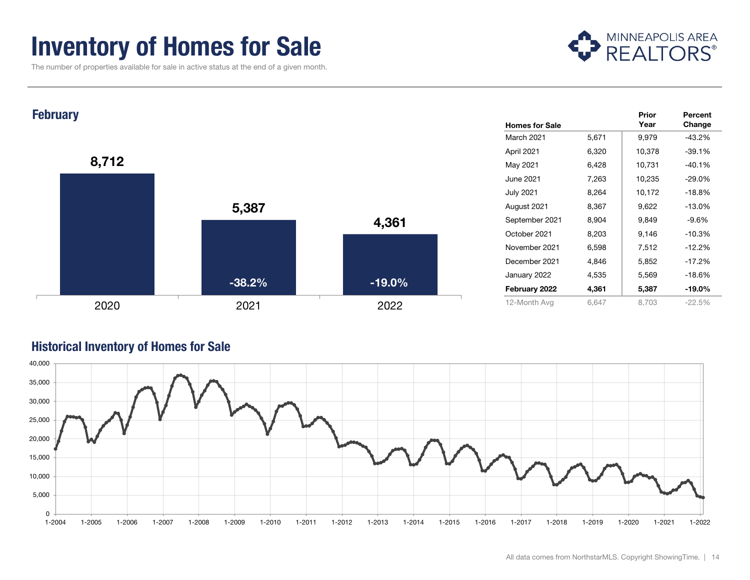### Inventory of Homes for Sale

The number of properties available for sale in active status at the end of a given month.





#### Historical Inventory of Homes for Sale

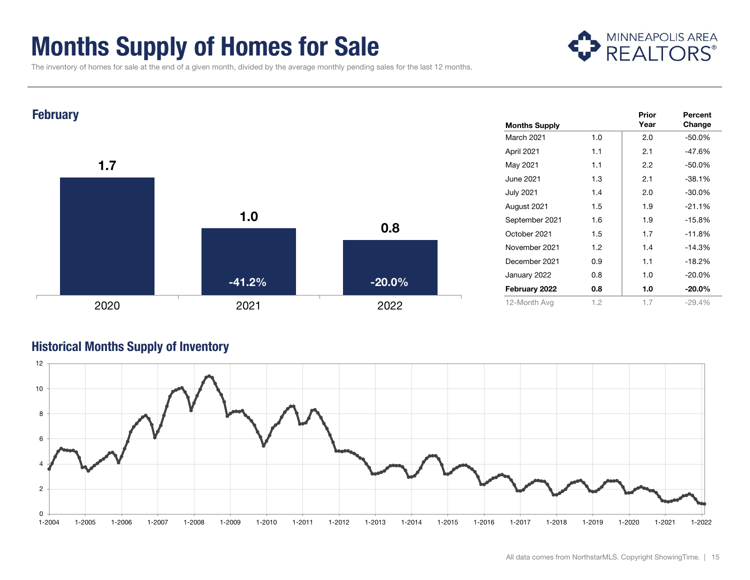### Months Supply of Homes for Sale



The inventory of homes for sale at the end of a given month, divided by the average monthly pending sales for the last 12 months.



#### Historical Months Supply of Inventory